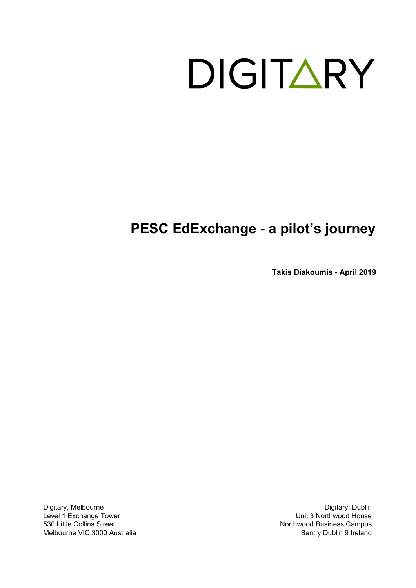# DIGITARY

# **PESC EdExchange - a pilot's journey**

**Takis Diakoumis - April 2019**

Digitary, Melbourne Level 1 Exchange Tower 530 Little Collins Street Melbourne VIC 3000 Australia

Digitary, Dublin Unit 3 Northwood House Northwood Business Campus Santry Dublin 9 Ireland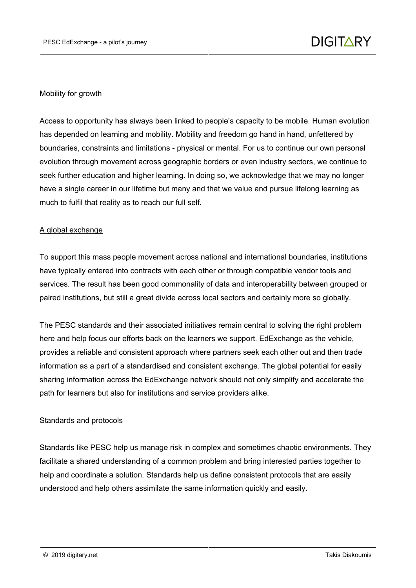#### Mobility for growth

Access to opportunity has always been linked to people's capacity to be mobile. Human evolution has depended on learning and mobility. Mobility and freedom go hand in hand, unfettered by boundaries, constraints and limitations - physical or mental. For us to continue our own personal evolution through movement across geographic borders or even industry sectors, we continue to seek further education and higher learning. In doing so, we acknowledge that we may no longer have a single career in our lifetime but many and that we value and pursue lifelong learning as much to fulfil that reality as to reach our full self.

#### A global exchange

To support this mass people movement across national and international boundaries, institutions have typically entered into contracts with each other or through compatible vendor tools and services. The result has been good commonality of data and interoperability between grouped or paired institutions, but still a great divide across local sectors and certainly more so globally.

The PESC standards and their associated initiatives remain central to solving the right problem here and help focus our efforts back on the learners we support. EdExchange as the vehicle, provides a reliable and consistent approach where partners seek each other out and then trade information as a part of a standardised and consistent exchange. The global potential for easily sharing information across the EdExchange network should not only simplify and accelerate the path for learners but also for institutions and service providers alike.

#### Standards and protocols

Standards like PESC help us manage risk in complex and sometimes chaotic environments. They facilitate a shared understanding of a common problem and bring interested parties together to help and coordinate a solution. Standards help us define consistent protocols that are easily understood and help others assimilate the same information quickly and easily.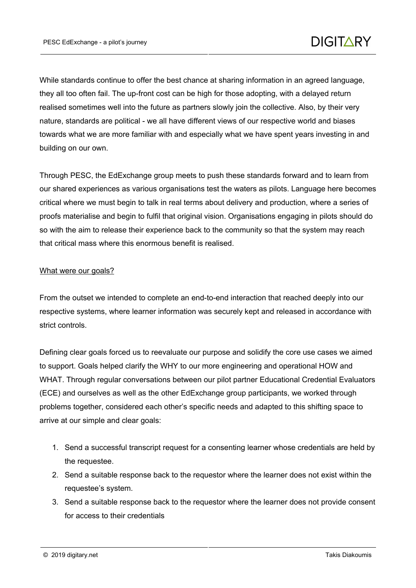While standards continue to offer the best chance at sharing information in an agreed language, they all too often fail. The up-front cost can be high for those adopting, with a delayed return realised sometimes well into the future as partners slowly join the collective. Also, by their very nature, standards are political - we all have different views of our respective world and biases towards what we are more familiar with and especially what we have spent years investing in and building on our own.

Through PESC, the EdExchange group meets to push these standards forward and to learn from our shared experiences as various organisations test the waters as pilots. Language here becomes critical where we must begin to talk in real terms about delivery and production, where a series of proofs materialise and begin to fulfil that original vision. Organisations engaging in pilots should do so with the aim to release their experience back to the community so that the system may reach that critical mass where this enormous benefit is realised.

#### What were our goals?

From the outset we intended to complete an end-to-end interaction that reached deeply into our respective systems, where learner information was securely kept and released in accordance with strict controls.

Defining clear goals forced us to reevaluate our purpose and solidify the core use cases we aimed to support. Goals helped clarify the WHY to our more engineering and operational HOW and WHAT. Through regular conversations between our pilot partner Educational Credential Evaluators (ECE) and ourselves as well as the other EdExchange group participants, we worked through problems together, considered each other's specific needs and adapted to this shifting space to arrive at our simple and clear goals:

- 1. Send a successful transcript request for a consenting learner whose credentials are held by the requestee.
- 2. Send a suitable response back to the requestor where the learner does not exist within the requestee's system.
- 3. Send a suitable response back to the requestor where the learner does not provide consent for access to their credentials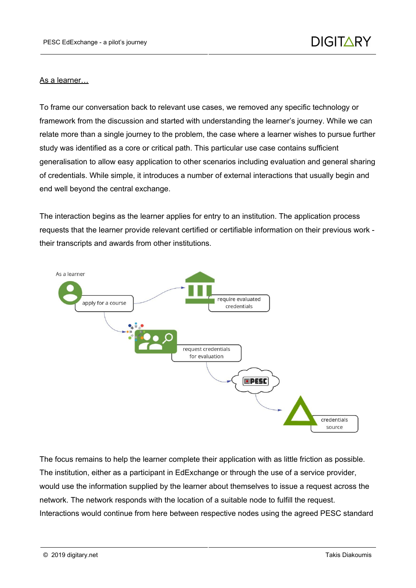#### As a learner…

To frame our conversation back to relevant use cases, we removed any specific technology or framework from the discussion and started with understanding the learner's journey. While we can relate more than a single journey to the problem, the case where a learner wishes to pursue further study was identified as a core or critical path. This particular use case contains sufficient generalisation to allow easy application to other scenarios including evaluation and general sharing of credentials. While simple, it introduces a number of external interactions that usually begin and end well beyond the central exchange.

The interaction begins as the learner applies for entry to an institution. The application process requests that the learner provide relevant certified or certifiable information on their previous work their transcripts and awards from other institutions.



The focus remains to help the learner complete their application with as little friction as possible. The institution, either as a participant in EdExchange or through the use of a service provider, would use the information supplied by the learner about themselves to issue a request across the network. The network responds with the location of a suitable node to fulfill the request. Interactions would continue from here between respective nodes using the agreed PESC standard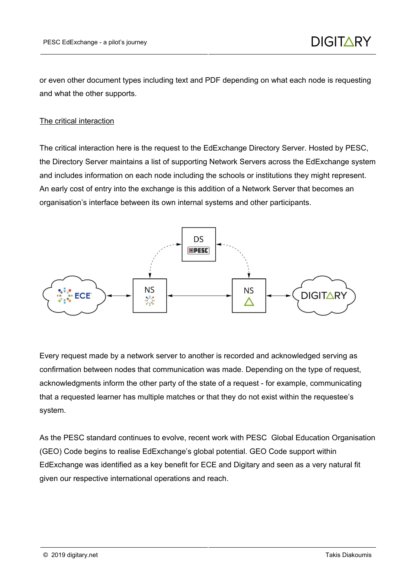or even other document types including text and PDF depending on what each node is requesting and what the other supports.

## The critical interaction

The critical interaction here is the request to the EdExchange Directory Server. Hosted by PESC, the Directory Server maintains a list of supporting Network Servers across the EdExchange system and includes information on each node including the schools or institutions they might represent. An early cost of entry into the exchange is this addition of a Network Server that becomes an organisation's interface between its own internal systems and other participants.



Every request made by a network server to another is recorded and acknowledged serving as confirmation between nodes that communication was made. Depending on the type of request, acknowledgments inform the other party of the state of a request - for example, communicating that a requested learner has multiple matches or that they do not exist within the requestee's system.

As the PESC standard continues to evolve, recent work with PESC Global Education Organisation (GEO) Code begins to realise EdExchange's global potential. GEO Code support within EdExchange was identified as a key benefit for ECE and Digitary and seen as a very natural fit given our respective international operations and reach.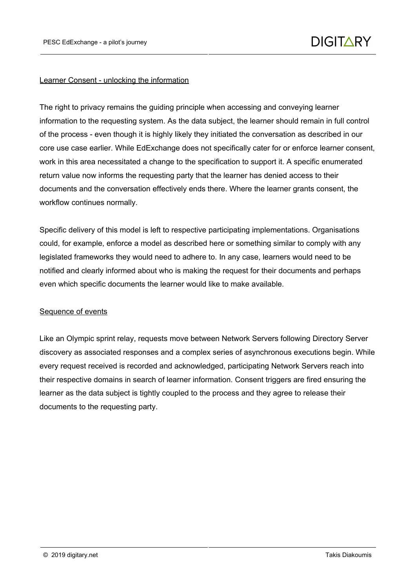#### Learner Consent - unlocking the information

The right to privacy remains the guiding principle when accessing and conveying learner information to the requesting system. As the data subject, the learner should remain in full control of the process - even though it is highly likely they initiated the conversation as described in our core use case earlier. While EdExchange does not specifically cater for or enforce learner consent, work in this area necessitated a change to the specification to support it. A specific enumerated return value now informs the requesting party that the learner has denied access to their documents and the conversation effectively ends there. Where the learner grants consent, the workflow continues normally.

Specific delivery of this model is left to respective participating implementations. Organisations could, for example, enforce a model as described here or something similar to comply with any legislated frameworks they would need to adhere to. In any case, learners would need to be notified and clearly informed about who is making the request for their documents and perhaps even which specific documents the learner would like to make available.

#### Sequence of events

Like an Olympic sprint relay, requests move between Network Servers following Directory Server discovery as associated responses and a complex series of asynchronous executions begin. While every request received is recorded and acknowledged, participating Network Servers reach into their respective domains in search of learner information. Consent triggers are fired ensuring the learner as the data subject is tightly coupled to the process and they agree to release their documents to the requesting party.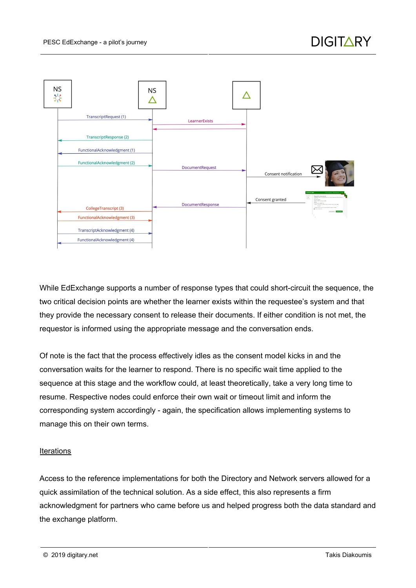

While EdExchange supports a number of response types that could short-circuit the sequence, the two critical decision points are whether the learner exists within the requestee's system and that they provide the necessary consent to release their documents. If either condition is not met, the requestor is informed using the appropriate message and the conversation ends.

Of note is the fact that the process effectively idles as the consent model kicks in and the conversation waits for the learner to respond. There is no specific wait time applied to the sequence at this stage and the workflow could, at least theoretically, take a very long time to resume. Respective nodes could enforce their own wait or timeout limit and inform the corresponding system accordingly - again, the specification allows implementing systems to manage this on their own terms.

#### **Iterations**

Access to the reference implementations for both the Directory and Network servers allowed for a quick assimilation of the technical solution. As a side effect, this also represents a firm acknowledgment for partners who came before us and helped progress both the data standard and the exchange platform.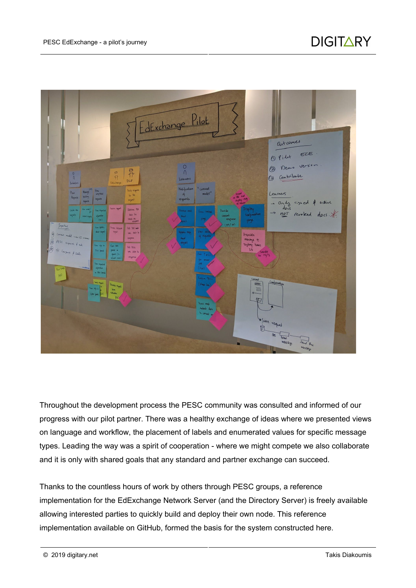

Throughout the development process the PESC community was consulted and informed of our progress with our pilot partner. There was a healthy exchange of ideas where we presented views on language and workflow, the placement of labels and enumerated values for specific message types. Leading the way was a spirit of cooperation - where we might compete we also collaborate and it is only with shared goals that any standard and partner exchange can succeed.

Thanks to the countless hours of work by others through PESC groups, a reference implementation for the EdExchange Network Server (and the Directory Server) is freely available allowing interested parties to quickly build and deploy their own node. This reference implementation available on GitHub, formed the basis for the system constructed here.